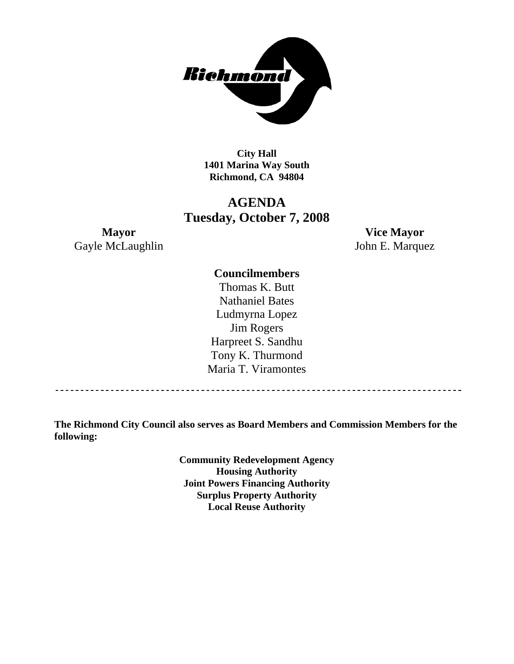

**City Hall 1401 Marina Way South Richmond, CA 94804** 

### **AGENDA Tuesday, October 7, 2008**

Gayle McLaughlin John E. Marquez

**Mayor Vice Mayor** 

#### **Councilmembers**

Thomas K. Butt Nathaniel Bates Ludmyrna Lopez Jim Rogers Harpreet S. Sandhu Tony K. Thurmond Maria T. Viramontes

**The Richmond City Council also serves as Board Members and Commission Members for the following:** 

> **Community Redevelopment Agency Housing Authority Joint Powers Financing Authority Surplus Property Authority Local Reuse Authority**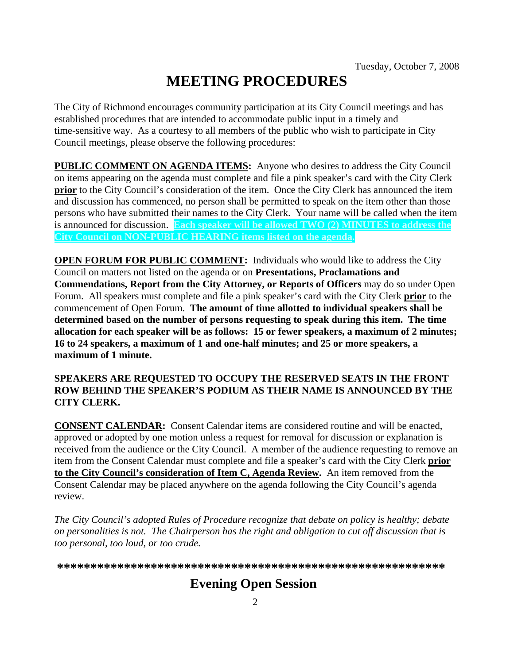# **MEETING PROCEDURES**

The City of Richmond encourages community participation at its City Council meetings and has established procedures that are intended to accommodate public input in a timely and time-sensitive way. As a courtesy to all members of the public who wish to participate in City Council meetings, please observe the following procedures:

**PUBLIC COMMENT ON AGENDA ITEMS:** Anyone who desires to address the City Council on items appearing on the agenda must complete and file a pink speaker's card with the City Clerk **prior** to the City Council's consideration of the item. Once the City Clerk has announced the item and discussion has commenced, no person shall be permitted to speak on the item other than those persons who have submitted their names to the City Clerk. Your name will be called when the item is announced for discussion. **Each speaker will be allowed TWO (2) MINUTES to address the City Council on NON-PUBLIC HEARING items listed on the agenda.** 

**OPEN FORUM FOR PUBLIC COMMENT:** Individuals who would like to address the City Council on matters not listed on the agenda or on **Presentations, Proclamations and Commendations, Report from the City Attorney, or Reports of Officers** may do so under Open Forum. All speakers must complete and file a pink speaker's card with the City Clerk **prior** to the commencement of Open Forum. **The amount of time allotted to individual speakers shall be determined based on the number of persons requesting to speak during this item. The time allocation for each speaker will be as follows: 15 or fewer speakers, a maximum of 2 minutes; 16 to 24 speakers, a maximum of 1 and one-half minutes; and 25 or more speakers, a maximum of 1 minute.** 

#### **SPEAKERS ARE REQUESTED TO OCCUPY THE RESERVED SEATS IN THE FRONT ROW BEHIND THE SPEAKER'S PODIUM AS THEIR NAME IS ANNOUNCED BY THE CITY CLERK.**

**CONSENT CALENDAR:** Consent Calendar items are considered routine and will be enacted, approved or adopted by one motion unless a request for removal for discussion or explanation is received from the audience or the City Council. A member of the audience requesting to remove an item from the Consent Calendar must complete and file a speaker's card with the City Clerk **prior to the City Council's consideration of Item C, Agenda Review.** An item removed from the Consent Calendar may be placed anywhere on the agenda following the City Council's agenda review.

*The City Council's adopted Rules of Procedure recognize that debate on policy is healthy; debate on personalities is not. The Chairperson has the right and obligation to cut off discussion that is too personal, too loud, or too crude.* 

**\*\*\*\*\*\*\*\*\*\*\*\*\*\*\*\*\*\*\*\*\*\*\*\*\*\*\*\*\*\*\*\*\*\*\*\*\*\*\*\*\*\*\*\*\*\*\*\*\*\*\*\*\*\*\*\*\*\***

## **Evening Open Session**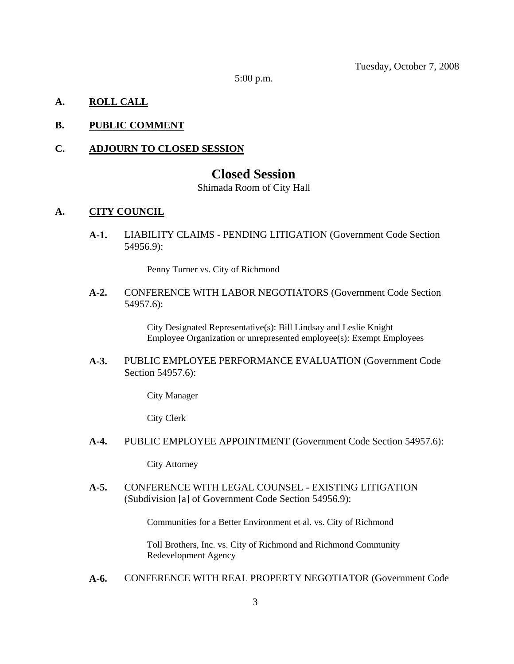Tuesday, October 7, 2008

5:00 p.m.

#### **A. ROLL CALL**

#### **B. PUBLIC COMMENT**

#### **C. ADJOURN TO CLOSED SESSION**

#### **Closed Session**

Shimada Room of City Hall

#### **A. CITY COUNCIL**

**A-1.** LIABILITY CLAIMS - PENDING LITIGATION (Government Code Section 54956.9):

Penny Turner vs. City of Richmond

**A-2.** CONFERENCE WITH LABOR NEGOTIATORS (Government Code Section 54957.6):

> City Designated Representative(s): Bill Lindsay and Leslie Knight Employee Organization or unrepresented employee(s): Exempt Employees

**A-3.** PUBLIC EMPLOYEE PERFORMANCE EVALUATION (Government Code Section 54957.6):

City Manager

City Clerk

**A-4.** PUBLIC EMPLOYEE APPOINTMENT (Government Code Section 54957.6):

City Attorney

**A-5.** CONFERENCE WITH LEGAL COUNSEL - EXISTING LITIGATION (Subdivision [a] of Government Code Section 54956.9):

Communities for a Better Environment et al. vs. City of Richmond

Toll Brothers, Inc. vs. City of Richmond and Richmond Community Redevelopment Agency

**A-6.** CONFERENCE WITH REAL PROPERTY NEGOTIATOR (Government Code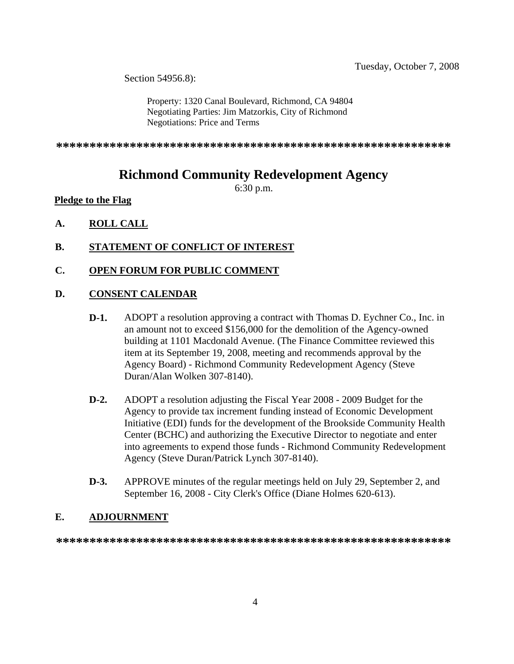Section 54956.8):

Property: 1320 Canal Boulevard, Richmond, CA 94804 Negotiating Parties: Jim Matzorkis, City of Richmond Negotiations: Price and Terms

**\*\*\*\*\*\*\*\*\*\*\*\*\*\*\*\*\*\*\*\*\*\*\*\*\*\*\*\*\*\*\*\*\*\*\*\*\*\*\*\*\*\*\*\*\*\*\*\*\*\*\*\*\*\*\*\*\*\*\***

## **Richmond Community Redevelopment Agency**

6:30 p.m.

#### **Pledge to the Flag**

- **A. ROLL CALL**
- **B. STATEMENT OF CONFLICT OF INTEREST**
- **C. OPEN FORUM FOR PUBLIC COMMENT**

#### **D. CONSENT CALENDAR**

- **D-1.** ADOPT a resolution approving a contract with Thomas D. Eychner Co., Inc. in an amount not to exceed \$156,000 for the demolition of the Agency-owned building at 1101 Macdonald Avenue. (The Finance Committee reviewed this item at its September 19, 2008, meeting and recommends approval by the Agency Board) - Richmond Community Redevelopment Agency (Steve Duran/Alan Wolken 307-8140).
- **D-2.** ADOPT a resolution adjusting the Fiscal Year 2008 2009 Budget for the Agency to provide tax increment funding instead of Economic Development Initiative (EDI) funds for the development of the Brookside Community Health Center (BCHC) and authorizing the Executive Director to negotiate and enter into agreements to expend those funds - Richmond Community Redevelopment Agency (Steve Duran/Patrick Lynch 307-8140).
- **D-3.** APPROVE minutes of the regular meetings held on July 29, September 2, and September 16, 2008 - City Clerk's Office (Diane Holmes 620-613).

#### **E. ADJOURNMENT**

**\*\*\*\*\*\*\*\*\*\*\*\*\*\*\*\*\*\*\*\*\*\*\*\*\*\*\*\*\*\*\*\*\*\*\*\*\*\*\*\*\*\*\*\*\*\*\*\*\*\*\*\*\*\*\*\*\*\*\***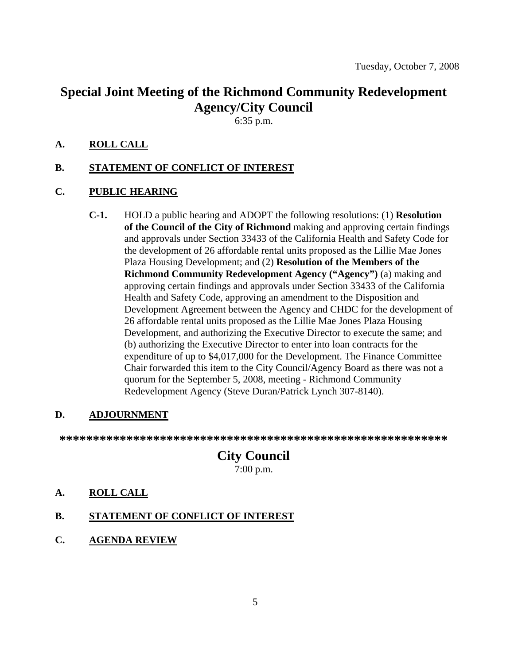## **Special Joint Meeting of the Richmond Community Redevelopment Agency/City Council**

6:35 p.m.

#### **A. ROLL CALL**

#### **B. STATEMENT OF CONFLICT OF INTEREST**

#### **C. PUBLIC HEARING**

**C-1.** HOLD a public hearing and ADOPT the following resolutions: (1) **Resolution of the Council of the City of Richmond** making and approving certain findings and approvals under Section 33433 of the California Health and Safety Code for the development of 26 affordable rental units proposed as the Lillie Mae Jones Plaza Housing Development; and (2) **Resolution of the Members of the Richmond Community Redevelopment Agency ("Agency")** (a) making and approving certain findings and approvals under Section 33433 of the California Health and Safety Code, approving an amendment to the Disposition and Development Agreement between the Agency and CHDC for the development of 26 affordable rental units proposed as the Lillie Mae Jones Plaza Housing Development, and authorizing the Executive Director to execute the same; and (b) authorizing the Executive Director to enter into loan contracts for the expenditure of up to \$4,017,000 for the Development. The Finance Committee Chair forwarded this item to the City Council/Agency Board as there was not a quorum for the September 5, 2008, meeting - Richmond Community Redevelopment Agency (Steve Duran/Patrick Lynch 307-8140).

#### **D. ADJOURNMENT**

**\*\*\*\*\*\*\*\*\*\*\*\*\*\*\*\*\*\*\*\*\*\*\*\*\*\*\*\*\*\*\*\*\*\*\*\*\*\*\*\*\*\*\*\*\*\*\*\*\*\*\*\*\*\*\*\*\*\*** 

# **City Council**

7:00 p.m.

- **A. ROLL CALL**
- **B. STATEMENT OF CONFLICT OF INTEREST**
- **C. AGENDA REVIEW**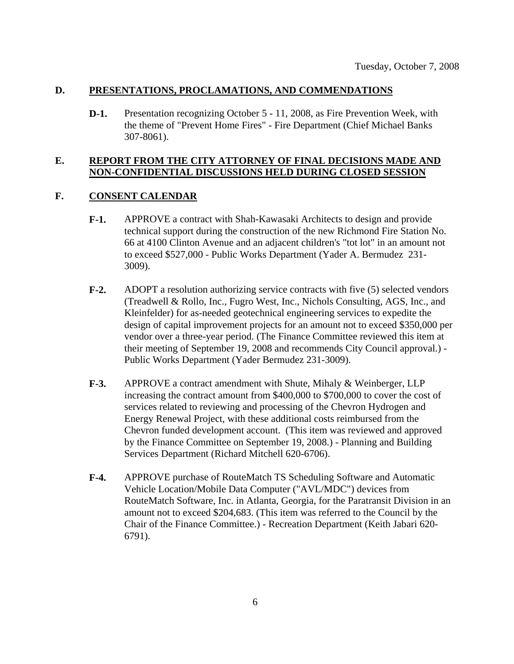#### **D. PRESENTATIONS, PROCLAMATIONS, AND COMMENDATIONS**

**D-1.** Presentation recognizing October 5 - 11, 2008, as Fire Prevention Week, with the theme of "Prevent Home Fires" - Fire Department (Chief Michael Banks 307-8061).

#### **E. REPORT FROM THE CITY ATTORNEY OF FINAL DECISIONS MADE AND NON-CONFIDENTIAL DISCUSSIONS HELD DURING CLOSED SESSION**

#### **F. CONSENT CALENDAR**

- **F-1.** APPROVE a contract with Shah-Kawasaki Architects to design and provide technical support during the construction of the new Richmond Fire Station No. 66 at 4100 Clinton Avenue and an adjacent children's "tot lot" in an amount not to exceed \$527,000 - Public Works Department (Yader A. Bermudez 231- 3009).
- **F-2.** ADOPT a resolution authorizing service contracts with five (5) selected vendors (Treadwell & Rollo, Inc., Fugro West, Inc., Nichols Consulting, AGS, Inc., and Kleinfelder) for as-needed geotechnical engineering services to expedite the design of capital improvement projects for an amount not to exceed \$350,000 per vendor over a three-year period. (The Finance Committee reviewed this item at their meeting of September 19, 2008 and recommends City Council approval.) - Public Works Department (Yader Bermudez 231-3009).
- **F-3.** APPROVE a contract amendment with Shute, Mihaly & Weinberger, LLP increasing the contract amount from \$400,000 to \$700,000 to cover the cost of services related to reviewing and processing of the Chevron Hydrogen and Energy Renewal Project, with these additional costs reimbursed from the Chevron funded development account. (This item was reviewed and approved by the Finance Committee on September 19, 2008.) - Planning and Building Services Department (Richard Mitchell 620-6706).
- **F-4.** APPROVE purchase of RouteMatch TS Scheduling Software and Automatic Vehicle Location/Mobile Data Computer ("AVL/MDC") devices from RouteMatch Software, Inc. in Atlanta, Georgia, for the Paratransit Division in an amount not to exceed \$204,683. (This item was referred to the Council by the Chair of the Finance Committee.) - Recreation Department (Keith Jabari 620- 6791).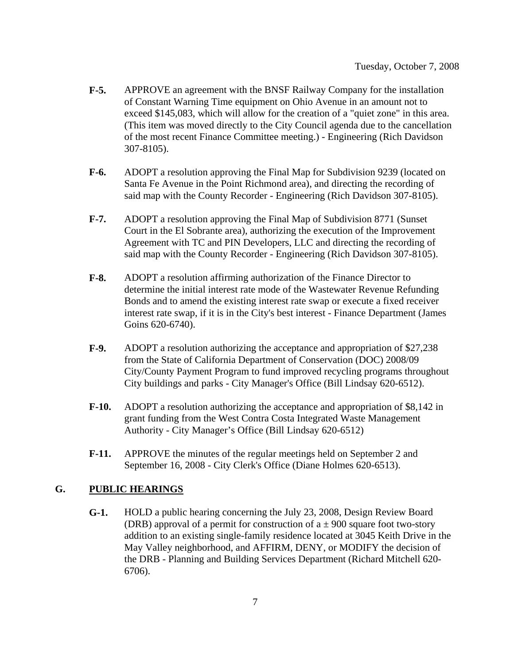- **F-5.** APPROVE an agreement with the BNSF Railway Company for the installation of Constant Warning Time equipment on Ohio Avenue in an amount not to exceed \$145,083, which will allow for the creation of a "quiet zone" in this area. (This item was moved directly to the City Council agenda due to the cancellation of the most recent Finance Committee meeting.) - Engineering (Rich Davidson 307-8105).
- **F-6.** ADOPT a resolution approving the Final Map for Subdivision 9239 (located on Santa Fe Avenue in the Point Richmond area), and directing the recording of said map with the County Recorder - Engineering (Rich Davidson 307-8105).
- **F-7.** ADOPT a resolution approving the Final Map of Subdivision 8771 (Sunset Court in the El Sobrante area), authorizing the execution of the Improvement Agreement with TC and PIN Developers, LLC and directing the recording of said map with the County Recorder - Engineering (Rich Davidson 307-8105).
- **F-8.** ADOPT a resolution affirming authorization of the Finance Director to determine the initial interest rate mode of the Wastewater Revenue Refunding Bonds and to amend the existing interest rate swap or execute a fixed receiver interest rate swap, if it is in the City's best interest - Finance Department (James Goins 620-6740).
- **F-9.** ADOPT a resolution authorizing the acceptance and appropriation of \$27,238 from the State of California Department of Conservation (DOC) 2008/09 City/County Payment Program to fund improved recycling programs throughout City buildings and parks - City Manager's Office (Bill Lindsay 620-6512).
- **F-10.** ADOPT a resolution authorizing the acceptance and appropriation of \$8,142 in grant funding from the West Contra Costa Integrated Waste Management Authority - City Manager's Office (Bill Lindsay 620-6512)
- **F-11.** APPROVE the minutes of the regular meetings held on September 2 and September 16, 2008 - City Clerk's Office (Diane Holmes 620-6513).

#### **G. PUBLIC HEARINGS**

**G-1.** HOLD a public hearing concerning the July 23, 2008, Design Review Board (DRB) approval of a permit for construction of  $a \pm 900$  square foot two-story addition to an existing single-family residence located at 3045 Keith Drive in the May Valley neighborhood, and AFFIRM, DENY, or MODIFY the decision of the DRB - Planning and Building Services Department (Richard Mitchell 620- 6706).